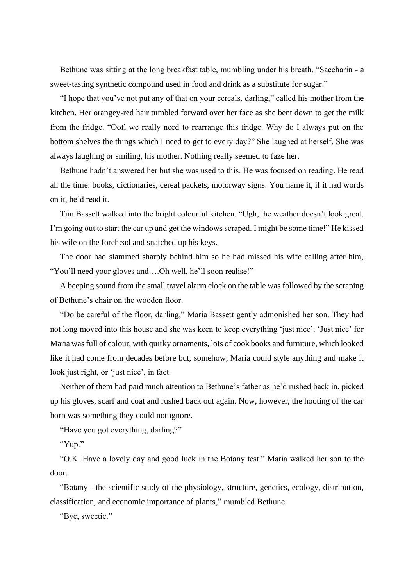Bethune was sitting at the long breakfast table, mumbling under his breath. "Saccharin - a sweet-tasting synthetic compound used in food and drink as a substitute for sugar."

"I hope that you've not put any of that on your cereals, darling," called his mother from the kitchen. Her orangey-red hair tumbled forward over her face as she bent down to get the milk from the fridge. "Oof, we really need to rearrange this fridge. Why do I always put on the bottom shelves the things which I need to get to every day?" She laughed at herself. She was always laughing or smiling, his mother. Nothing really seemed to faze her.

Bethune hadn't answered her but she was used to this. He was focused on reading. He read all the time: books, dictionaries, cereal packets, motorway signs. You name it, if it had words on it, he'd read it.

Tim Bassett walked into the bright colourful kitchen. "Ugh, the weather doesn't look great. I'm going out to start the car up and get the windows scraped. I might be some time!" He kissed his wife on the forehead and snatched up his keys.

The door had slammed sharply behind him so he had missed his wife calling after him, "You'll need your gloves and….Oh well, he'll soon realise!"

A beeping sound from the small travel alarm clock on the table was followed by the scraping of Bethune's chair on the wooden floor.

"Do be careful of the floor, darling," Maria Bassett gently admonished her son. They had not long moved into this house and she was keen to keep everything 'just nice'. 'Just nice' for Maria was full of colour, with quirky ornaments, lots of cook books and furniture, which looked like it had come from decades before but, somehow, Maria could style anything and make it look just right, or 'just nice', in fact.

Neither of them had paid much attention to Bethune's father as he'd rushed back in, picked up his gloves, scarf and coat and rushed back out again. Now, however, the hooting of the car horn was something they could not ignore.

"Have you got everything, darling?"

"Yup."

"O.K. Have a lovely day and good luck in the Botany test." Maria walked her son to the door.

"Botany - the scientific study of the physiology, structure, genetics, ecology, distribution, classification, and economic importance of plants," mumbled Bethune.

"Bye, sweetie."